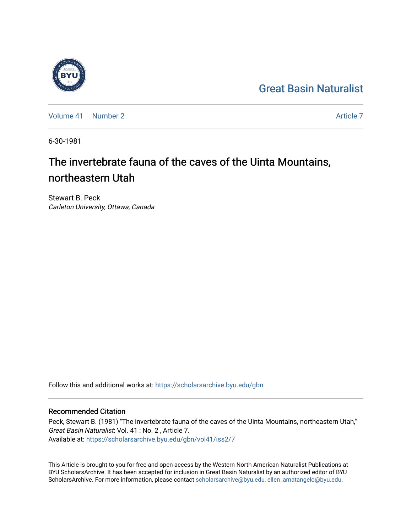# [Great Basin Naturalist](https://scholarsarchive.byu.edu/gbn)

[Volume 41](https://scholarsarchive.byu.edu/gbn/vol41) | [Number 2](https://scholarsarchive.byu.edu/gbn/vol41/iss2) [Article 7](https://scholarsarchive.byu.edu/gbn/vol41/iss2/7) Article 7 Article 7 Article 7 Article 7 Article 7 Article 7 Article 7 Article 7

6-30-1981

# The invertebrate fauna of the caves of the Uinta Mountains, northeastern Utah

Stewart B. Peck Carleton University, Ottawa, Canada

Follow this and additional works at: [https://scholarsarchive.byu.edu/gbn](https://scholarsarchive.byu.edu/gbn?utm_source=scholarsarchive.byu.edu%2Fgbn%2Fvol41%2Fiss2%2F7&utm_medium=PDF&utm_campaign=PDFCoverPages) 

# Recommended Citation

Peck, Stewart B. (1981) "The invertebrate fauna of the caves of the Uinta Mountains, northeastern Utah," Great Basin Naturalist: Vol. 41 : No. 2 , Article 7. Available at: [https://scholarsarchive.byu.edu/gbn/vol41/iss2/7](https://scholarsarchive.byu.edu/gbn/vol41/iss2/7?utm_source=scholarsarchive.byu.edu%2Fgbn%2Fvol41%2Fiss2%2F7&utm_medium=PDF&utm_campaign=PDFCoverPages)

This Article is brought to you for free and open access by the Western North American Naturalist Publications at BYU ScholarsArchive. It has been accepted for inclusion in Great Basin Naturalist by an authorized editor of BYU ScholarsArchive. For more information, please contact [scholarsarchive@byu.edu, ellen\\_amatangelo@byu.edu.](mailto:scholarsarchive@byu.edu,%20ellen_amatangelo@byu.edu)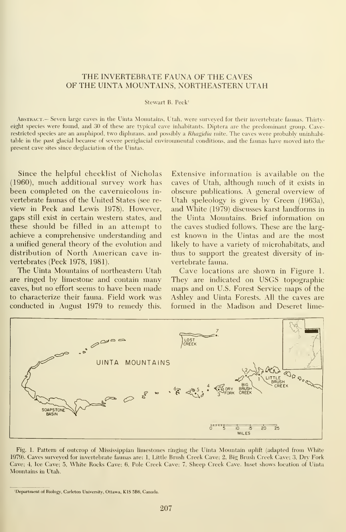## THE INVERTEBRATE FAUNA OF THE CAVES OF THE UINTA MOUNTAINS, NORTHEASTERN UTAH

#### Stewart B. Peck'

.\bstract.— Seven large caves in the Uinta Mountains, Utah, were surveyed for their invertebrate faunas. Thirtveight species were found, and 30 of these are typical cave inhabitants. Diptera are the predominant group. Caverestricted species are an amphipod, two diplurans, and possibly a Rhagidia mite. The caves were probably uninhabitable in the past glacial because of severe periglacial environmental conditions, and the faunas have moved into the present cave sites since deglaciation of the Uintas.

Since the helpful checklist of Nicholas (1960), much additional survey work has been completed on the cavernicolous in vertebrate faunas of the United States (see re view in Peck and Lewis 1978). However, gaps still exist in certain western states, and these should be filled in an attempt to achieve a comprehensive understanding and a unified general theory of the evolution and distribution of North American cave in vertebrates (Peck 1978, 1981).

The Uinta Mountains of northeastern Utah are ringed by limestone and contain many caves, but no effort seems to have been made to characterize their fauna. Field work was conducted in August 1979 to remedy this.

Extensive information is available on the caves of Utah, although much of it exists in obscure publications. A general overview of Utah speleology is given by Green (1963a), and White (1979) discusses karst landforms in the Uinta Mountains. Brief information on the caves studied follows. These are the largest known in the Uintas and are the most likely to have a variety of microhabitats, and thus to support the greatest diversity of in vertebrate fauna.

Cave locations are shown in Figure 1. They are indicated on USGS topographic maps and on U.S. Forest Service maps of the Ashley and Uinta Forests. All the caves are formed in the Madison and Deseret lime-



Fig. 1. Pattern of outcrop of Mississippian limestones ringing the Uinta Mountain uplift (adapted from White 1979). Caves surveyed for invertebrate faunas are: I, Little Brush Creek Cave; 2, Big Brush Creek Cave; 3, Dry Fork Cave; 4, Ice Cave; 5, White Rocks Cave; 6, Pole Creek Cave; 7, Sheep Creek Cave. Inset shows location of Uinta Mountains in Utah.

<sup>&#</sup>x27;Department of Biology, Carleton University, Ottawa, KIS 5B6, Canada.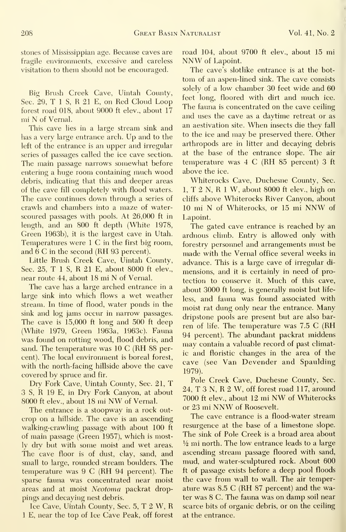stones of Mississippian age. Because caves are fragile environments, excessive and careless visitation to them should not be encouraged.

Big Brush Creek Cave, Uintah County, Sec. 29, T <sup>1</sup> S, R 21 E, on Red Cloud Loop forest road 018, about 9000 ft elev., about 17 mi N of Vernal.

This cave lies in a large stream sink and has <sup>a</sup> very large entrance arch. Up and to the left of the entrance is an upper and irregular series of passages called the ice cave section. The main passage narrows somewhat before entering a huge room containing much wood debris, indicating that this and deeper areas of the cave fill completely with flood waters. The cave continues down through a series of crawls and chambers into a maze of waterscoured passages with pools. At 26,000 ft in length, and an 800 ft depth (White 1978, Green 1963b), it is the largest cave in Utah. Temperatures were  $1 \, \text{C}$  in the first big room, and 6 C in the second (RH 93 percent).

Little Brush Creek Cave, Uintah County, Sec. 25. T <sup>1</sup> S, R 21 E, about 8000 ft elev., near route 44, about <sup>18</sup> mi N of Vernal.

The cave has a large arched entrance in a large sink into which flows a wet weather stream. In time of flood, water ponds in the sink and log jams occur in narrow passages. The cave is 15,000 ft long and 500 ft deep (White 1979, Green 1963a, 1963c). Fauna was found on rotting wood, flood debris, and sand. The temperature was 10 C (RH 88 percent). The local environment is boreal forest, with the north-facing hillside above the cave covered by spruce and fir.

Dry Fork Cave, Uintah County, Sec. 21, T 3 S, R 19 E, in Dry Fork Canyon, at about <sup>8000</sup> ft elev., about <sup>18</sup> mi NW of Vernal.

The entrance is a stoopway in a rock out crop on a hillside. The cave is an ascending walking-crawling passage with about 100 ft of main passage (Green 1957), which is mostly dry but with some moist and wet areas. The cave floor is of dust, clay, sand, and small to large, rounded stream boulders. The temperature was 9 C (RH 94 percent). The sparse faima was concentrated near moist areas and at moist *Neotoma* packrat droppings and decaying nest debris.

Ice Cave, Uintah County, Sec. 5, T <sup>2</sup> W, R <sup>1</sup> E, near the top of Ice Cave Peak, off forest road 104, about 9700 ft elev., about 15 mi NNW of Lapoint.

The cave's slotlike entrance is at the bot tom of an aspen-lined sink. The cave consists solely of a low chamber 30 feet wide and 60 feet long, floored with dirt and much ice. The fauna is concentrated on the cave ceiling and uses the cave as a daytime retreat or as an aestivation site. When insects die they fall to the ice and may be preserved there. Other arthropods are in litter and decaying debris at the base of the entrance slope. The air temperature was 4 C (RH 85 percent) 3 ft above the ice.

Whiterocks Cave, Duchesne County, Sec. 1, T 2 N, R <sup>1</sup> W, about 8000 ft elev., high on cliffs above Whiterocks River Canyon, about <sup>10</sup> mi N of Whiterocks, or <sup>15</sup> mi NNW of Lapoint.

The gated cave entrance is reached by an arduous climb. Entry is allowed only with forestry personnel and arrangements must be made with the Vernal office several weeks in advance. This is a large cave of irregular di mensions, and it is certainly in need of protection to conserve it. Much of this cave, about 3000 ft long, is generally moist but life less, and fauna was found associated with moist rat dung only near the entrance. Many dripstone pools are present but are also bar ren of life. The temperature was 7.5 C (RH 94 percent). The abundant packrat middens may contain <sup>a</sup> valuable record of past climatic and floristic changes in the area of the cave (see Van Devender and Spaulding 1979).

Pole Creek Cave, Duchesne County, Sec. 24, T 3 N, R 2 W, off forest road 117, around 7000 ft elev., about 12 mi NW of Whiterocks or <sup>23</sup> mi NNW of Roosevelt.

The cave entrance is a flood-water stream resurgence at the base of a limestone slope. The sink of Pole Creek is a broad area about  $\frac{1}{2}$  mi north. The low entrance leads to a large ascending stream passage floored with sand, mud, and water-sculptured rock. About 600 ft of passage exists before a deep pool floods the cave from wall to wall. The air temperature was 8.5 C (RH 87 percent) and the water was 8 C. The fauna was on damp soil near scarce bits of organic debris, or on the ceiling at the entrance.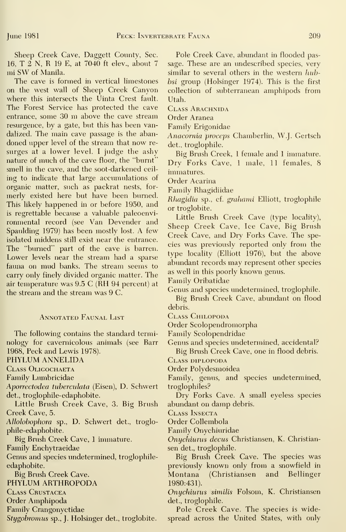Sheep Creek Cave, Daggett County, Sec. 16, T 2 N, R <sup>19</sup> E, at 7040 ft elev., about <sup>7</sup> mi SW of Manila.

The cave is formed in vertical limestones on the west wall of Sheep Creek Canyon where this intersects the Uinta Crest fault. The Forest Service has protected the cave entrance, some <sup>30</sup> m above the cave stream resurgence, by a gate, but this has been vandalized. The main cave passage is the abandoned upper level of the stream that now re surges at a lower level. <sup>I</sup> judge the ashy nature of much of the cave floor, the "burnt" smell in the cave, and the soot-darkened ceil ing to indicate that large accumulations of organic matter, such as packrat nests, for merly existed here but have been burned. This likely happened in or before 1950, and is regrettable because a valuable paleoenvironmental record (see Van Devender and Spaulding 1979) has been mostly lost. A few isolated middens still exist near the entrance. The "burned" part of the cave is barren. Lower levels near the stream had a sparse fauna on mud banks. The stream seems to carry only finely divided organic matter. The air temperature was 9.5 C (RH 94 percent) at the stream and the stream was 9 C.

### Annotated Faunal List

The following contains the standard terminology for cavernicolous animals (see Barr 1968, Peck and Lewis 1978). PHYLUM ANNELIDA

Class Oligochaeta

Family Lumbricidae

Aporrectodea tuberculata (Eisen), D. Schwert det., troglophile-edaphobite.

Little Brush Creek Cave, 3. Big Brush Creek Cave, 5.

AUolohophora sp., D. Schwert det., troglophile-edaphobite.

Big Brush Creek Cave, 1 immature.

Family Enchytraeidae

Genus and species undetermined, troglophileedaphobite.

Big Brush Creek Cave.

PHYLUM ARTHROPODA

Class Crustacea

Order Amphipoda

Family Crangonyctidae

S*tygobromus* sp., J. Holsinger det., troglobite. – s

Pole Creek Cave, abundant in flooded passage. These are an imdescribed species, very similar to several others in the western hubbsi group (Holsinger 1974). This is the first collection of subterranean amphipods from Utah.

CLASS ARACHNIDA

Order Aranea

Family Erigonidae

Anacornia proceps Chamberlin, W.J. Gertsch det., troglophile.

Big Brush Creek, <sup>1</sup> female and <sup>1</sup> immature. Dry Forks Cave, <sup>1</sup> male, 11 females, 8 immatures.

Order Acarina

Family Rhagidiidae

Rhagidia sp., cf. grahami Elliott, troglophile or troglobite.

Little Brush Creek Cave (type locality). Sheep Creek Cave, Ice Cave, Big Brush Creek Cave, and Dry Forks Cave. The species was previously reported only from the type locality (Elliott 1976), but the above abundant records may represent other species as well in this poorly known genus.

Family Oribatidae

Genus and species undetermined, troglophile. Big Brush Creek Cave, abundant on flood debris.

Class Chilopoda

Order Scolopendromorpha

Family Scolopendridae

Genus and species undetermined, accidental?

Big Brush Creek Cave, one in flood debris.

Class diplopoda

Order Polydesmoidea

Family, genus, and species undetermined, troglophiles?

Dry Forks Cave. A small eyeless species abundant on damp debris.

Class Insecta

Order Collembola

Family Onychiuridae

Onychiurus decus Christiansen, K. Christian sen det., troglophile.

Big Brush Creek Cave. The species was previously known only from a snowfield in Montana (Christiansen and Bellinger 1980:431).

Onychiurus similis Folsom, K. Christiansen det., troglophile.

Pole Creek Cave. The species is widespread across the United States, with only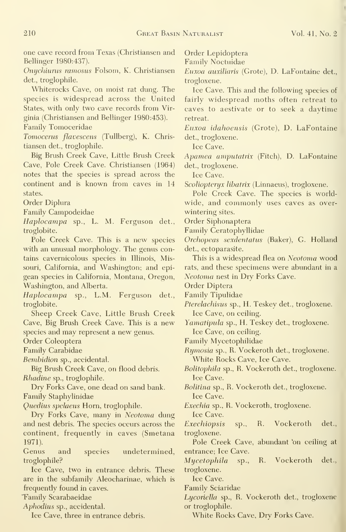one cave record from Texas (Christiansen and Bellinger 1980:437).

Onychiurus ramosus Folsom, K. Christiansen det., troglophile.

Whiterocks Cave, on moist rat dung. The species is widespread across the United States, with only two cave records from Virginia (Christiansen and Bellinger 1980:453).

Family Tomoceridae

Tomocerus flavescens (Tullberg), K. Christiansen det., troglophile.

Big Brush Creek Cave, Little Brush Creek Cave, Pole Creek Cave. Christiansen (1964) notes that the species is spread across the continent and is known from caves in 14 states.

Order Diplura

Family Campodeidae

Haplocampa sp., L. M. Ferguson det., troglobite.

Pole Creek Cave. This is a new species with an unusual morphology. The genus contains cavernicolous species in Illinois, Missouri, California, and Washington; and epigean species in California, Montana, Oregon, Washington, and Alberta.

Haplocampa sp., L.M. Ferguson det., troglobite.

Sheep Creek Cave, Little Brush Creek Cave, Big Brush Creek Cave. This is a new species and may represent a new genus.

Order Coleoptera

Family Carabidae

Bembidion sp., accidental.

Big Brush Creek Cave, on flood debris. Rhadine sp., troglophile.

Dry Forks Cave, one dead on sand bank. Family Staphylinidae

Quedius spelaeus Horn, troglophile.

Dry Forks Cave, many in Neotoma dung and nest debris. The species occurs across the continent, frequently in caves (Smetana 1971).

Genus and species undetermined, troglophile?

Ice Cave, two in entrance debris. These are in the subfamily Aleocharinae, which is frequently found in caves.

"Family Scarabaeidae

Aphodins sp., accidental.

Ice Cave, three in entrance debris.

Order Lepidoptera

Family Noctuidae

Euxoa auxiliaris (Grote), D. LaFontaine det., trogloxene.

Ice Cave. This and the following species of fairly widespread moths often retreat to caves to aestivate or to seek a daytime retreat.

Euxoa idahoensis (Grote), D. LaFontaine det., trogloxene.

Ice Cave.

Apamea amputatrix (Fitch), D. LaFontaine det., trogloxene.

Ice Cave.

Scoliopteryx libatrix (Linnaeus), trogloxene.

Pole Creek Cave. The species is worldwide, and commonly uses caves as over wintering sites.

Order Siphonaptera

Family Ceratophyllidae

Orchopeas sexdentatus (Baker), G. Holland det., ectoparasite.

This is a widespread flea on Neotoma wood rats, and these specimens were abundant in a Neotoma nest in Dry Forks Cave.

Order Diptera

Family Tipulidae

Pterelachisus sp., H. Teskey det., trogloxene. Ice Cave, on ceiling.

Yamatipula sp., H. Teskey det., trogloxene. Ice Cave, on ceiling.

Family Mycetophilidae

Rymosia sp., R. Vockeroth det., trogloxene.

White Rocks Cave, Ice Cave.

Bolitophila sp., R. Vockeroth det., trogloxene. Ice Cave.

Bolitina sp., R. Vockeroth det., trogloxene. Ice Cave.

Exechia sp., R. Vockeroth, trogloxene.

Ice Cave.

Exechiopsis sp., R. Vockeroth det., trogloxene.

Pole Creek Cave, abundant 'on ceiling at entrance; Ice Cave.

Mycetophila sp., R. Vockeroth det., trogloxene.

Ice Cave.

Family Sciaridae

Lycoriella sp., R. Vockeroth det., trogloxene or troglophile.

White Rocks Cave, Dry Forks Cave.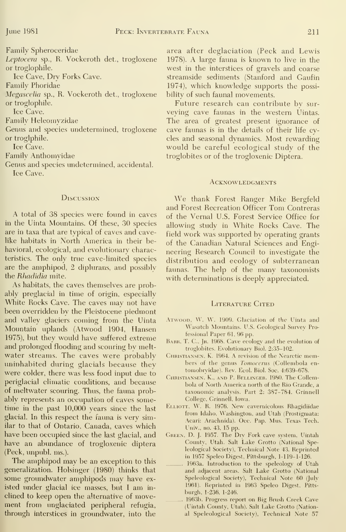Family Spheroceridae

Leptocera sp., R. Vockeroth det., trogloxene or troglophile.

Ice Cave, Dry Forks Cave.

Family Phoridae

Megascelia sp., R. Vockeroth det., trogloxene or troglophile.

Ice Cave.

Family Heleomyzidae

Genus and species undetermined, trogloxene or troglphile.

Ice Cave.

Family Anthomyidae

Genus and species imdetermined, accidental.

Ice Cave.

#### **Discussion**

A total of 38 species were found in caves in the Uinta Mountains. Of these, 30 species are in taxa that are typical of caves and cavelike habitats in North America in their behavioral, ecological, and evolutionary characteristics. The only true cave-limited species are the amphipod, 2 diplurans, and possibly the Rhadidia mite.

As habitats, the caves themselves are probably preglacial in time of origin, especially White Rocks Cave. The caves may not have been overridden by the Pleistocene piedmont and valley glaciers coming from the Uinta Mountain uplands (Atwood 1904, Hansen 1975), but they would have suffered extreme and prolonged flooding and scouring by meltwater streams. The caves were probably uninhabited during glacials because they were colder, there was less food input due to periglacial climatic conditions, and because of meltwater scouring. Thus, the fauna probably represents an occupation of caves sometime in the past 10,000 years since the last glacial. In this respect the fauna is very similar to that of Ontario, Canada, caves which have been occupied since the last glacial, and have an abundance of trogloxenic diptera (Peck, unpubl. ms.).

The amphipod may be an exception to this generalization. Holsinger (1980) thinks that some groundwater amphipods may have existed under glacial ice masses, but <sup>I</sup>am in clined to keep open the alternative of movement from unglaciated peripheral refugia, through interstices in groundwater, into the area after deglaciation (Peck and Lewis 1978). A large fauna is known to live in the west in the interstices of gravels and coarse streamside sediments (Stanford and Gaufin 1974), which knowledge supports the possibility of such faunal movements.

Future research can contribute by sur veying cave faunas in the western Uintas. The area of greatest present ignorance of cave faunas is in the details of their life cycles and seasonal dynamics. Most rewarding would be careful ecological study of the troglobites or of the trogloxenic Diptera.

#### **ACKNOWLEDGMENTS**

We thank Forest Ranger Mike Bergfeld and Forest Recreation Officer Tom Contreras of the Vernal U.S. Forest Service Office for allowing study in White Rocks Cave. The field work was supported by operating grants of the Canadian Natural Sciences and Engineering Research Council to investigate the distribution and ecology of subterranean faunas. The help of the many taxonomists with determinations is deeply appreciated.

### LITERATURE CITED

- Atwood, W. \V. 1909. Glaciation of the Uinta and Wasatch Mountains. U.S. Geological Survey Professional Paper 61, 96 pp.
- BARR, T. C., JR. 1968. Cave ecology and the evolution of troglobites. Evolutionary Biol. 2:35-102.
- CHRISTIANSEN, K. 1964. A revision of the Nearctic members of the genus Tomocerus (Collembola en tomobryidae). Rev. Ecol. Biol. Soc. 4:639-678.
- Christiansen, K., and P. Bellinger. 1980. The Collembola of North America north of the Rio Grande, a taxonomic analysis. Part 2: 387-784. Grinnell College, Grinnell, Iowa.
- Elliott, W. R. 1976. New cavernicolous Rhagidiidae from Idaho, Washington, and Utah (Prostigmata: Acari: Arachnida). Occ. Pap. Mus. Texas Tech. Univ., no. 43, 15 pp.
- Green, D. J. 1957. The Dry Fork cave system, Uintah County, Utah. Salt Lake Grotto (National Speleological Society), Technical Note 43. Reprinted in 1957 Speleo Digest, Pittsburgh, 1-119-1-126.
- 196.3a. Introduction to the speleology of Utah and adjacent areas. Salt Lake Grotto (National Speleological Society), Technical Note 60 (July 1961). Reprinted in 1963 Speleo Digest, Pitts burgh, 1-236. 1-246.
- 1963b. Progress report on Big Brush Creek Cave (Uintah County, Utah). Salt Lake Grotto (National Speleological Society), Technical Note 57